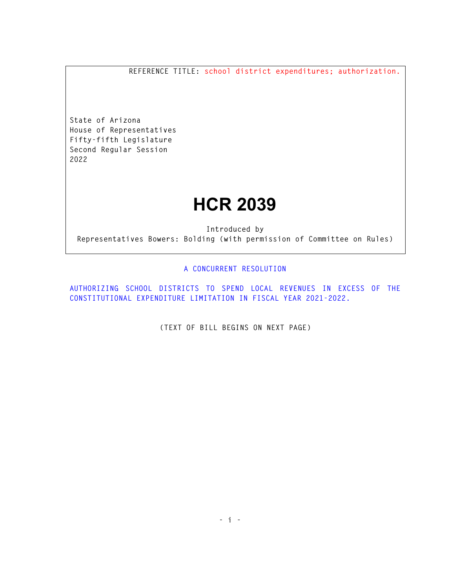**REFERENCE TITLE: school district expenditures; authorization.** 

**State of Arizona House of Representatives Fifty-fifth Legislature Second Regular Session 2022** 

## **HCR 2039**

**Introduced by Representatives Bowers: Bolding (with permission of Committee on Rules)** 

## **A CONCURRENT RESOLUTION**

**AUTHORIZING SCHOOL DISTRICTS TO SPEND LOCAL REVENUES IN EXCESS OF THE CONSTITUTIONAL EXPENDITURE LIMITATION IN FISCAL YEAR 2021-2022.** 

**(TEXT OF BILL BEGINS ON NEXT PAGE)**